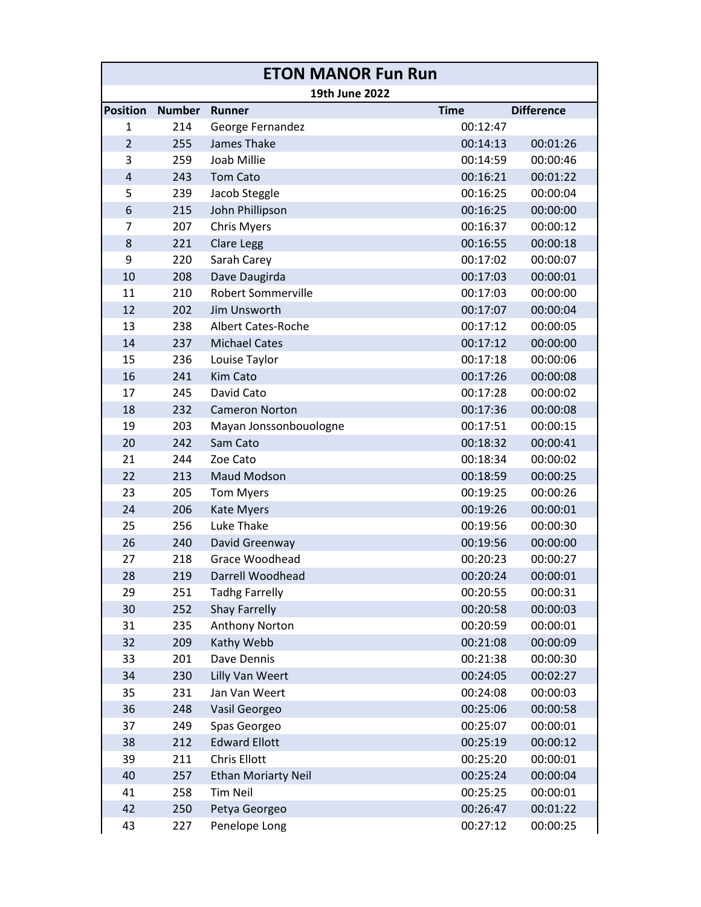| <b>ETON MANOR Fun Run</b> |               |                            |             |                   |  |  |  |  |
|---------------------------|---------------|----------------------------|-------------|-------------------|--|--|--|--|
|                           |               | 19th June 2022             |             |                   |  |  |  |  |
| <b>Position</b>           | <b>Number</b> | <b>Runner</b>              | <b>Time</b> | <b>Difference</b> |  |  |  |  |
| 1                         | 214           | George Fernandez           | 00:12:47    |                   |  |  |  |  |
| $\overline{2}$            | 255           | James Thake                | 00:14:13    | 00:01:26          |  |  |  |  |
| 3                         | 259           | Joab Millie                | 00:14:59    | 00:00:46          |  |  |  |  |
| 4                         | 243           | <b>Tom Cato</b>            | 00:16:21    | 00:01:22          |  |  |  |  |
| 5                         | 239           | Jacob Steggle              | 00:16:25    | 00:00:04          |  |  |  |  |
| 6                         | 215           | John Phillipson            | 00:16:25    | 00:00:00          |  |  |  |  |
| 7                         | 207           | <b>Chris Myers</b>         | 00:16:37    | 00:00:12          |  |  |  |  |
| 8                         | 221           | Clare Legg                 | 00:16:55    | 00:00:18          |  |  |  |  |
| 9                         | 220           | Sarah Carey                | 00:17:02    | 00:00:07          |  |  |  |  |
| 10                        | 208           | Dave Daugirda              | 00:17:03    | 00:00:01          |  |  |  |  |
| 11                        | 210           | <b>Robert Sommerville</b>  | 00:17:03    | 00:00:00          |  |  |  |  |
| 12                        | 202           | Jim Unsworth               | 00:17:07    | 00:00:04          |  |  |  |  |
| 13                        | 238           | <b>Albert Cates-Roche</b>  | 00:17:12    | 00:00:05          |  |  |  |  |
| 14                        | 237           | <b>Michael Cates</b>       | 00:17:12    | 00:00:00          |  |  |  |  |
| 15                        | 236           | Louise Taylor              | 00:17:18    | 00:00:06          |  |  |  |  |
| 16                        | 241           | <b>Kim Cato</b>            | 00:17:26    | 00:00:08          |  |  |  |  |
| 17                        | 245           | David Cato                 | 00:17:28    | 00:00:02          |  |  |  |  |
| 18                        | 232           | <b>Cameron Norton</b>      | 00:17:36    | 00:00:08          |  |  |  |  |
| 19                        | 203           | Mayan Jonssonbouologne     | 00:17:51    | 00:00:15          |  |  |  |  |
| 20                        | 242           | Sam Cato                   | 00:18:32    | 00:00:41          |  |  |  |  |
| 21                        | 244           | Zoe Cato                   | 00:18:34    | 00:00:02          |  |  |  |  |
| 22                        | 213           | <b>Maud Modson</b>         | 00:18:59    | 00:00:25          |  |  |  |  |
| 23                        | 205           | <b>Tom Myers</b>           | 00:19:25    | 00:00:26          |  |  |  |  |
| 24                        | 206           | <b>Kate Myers</b>          | 00:19:26    | 00:00:01          |  |  |  |  |
| 25                        | 256           | <b>Luke Thake</b>          | 00:19:56    | 00:00:30          |  |  |  |  |
| 26                        | 240           | David Greenway             | 00:19:56    | 00:00:00          |  |  |  |  |
| 27                        | 218           | Grace Woodhead             | 00:20:23    | 00:00:27          |  |  |  |  |
| 28                        | 219           | Darrell Woodhead           | 00:20:24    | 00:00:01          |  |  |  |  |
| 29                        | 251           | <b>Tadhg Farrelly</b>      | 00:20:55    | 00:00:31          |  |  |  |  |
| 30                        | 252           | <b>Shay Farrelly</b>       | 00:20:58    | 00:00:03          |  |  |  |  |
| 31                        | 235           | Anthony Norton             | 00:20:59    | 00:00:01          |  |  |  |  |
| 32                        | 209           | Kathy Webb                 | 00:21:08    | 00:00:09          |  |  |  |  |
| 33                        | 201           | Dave Dennis                | 00:21:38    | 00:00:30          |  |  |  |  |
| 34                        | 230           | Lilly Van Weert            | 00:24:05    | 00:02:27          |  |  |  |  |
| 35                        | 231           | Jan Van Weert              | 00:24:08    | 00:00:03          |  |  |  |  |
| 36                        | 248           | Vasil Georgeo              | 00:25:06    | 00:00:58          |  |  |  |  |
| 37                        | 249           | Spas Georgeo               | 00:25:07    | 00:00:01          |  |  |  |  |
| 38                        | 212           | <b>Edward Ellott</b>       | 00:25:19    | 00:00:12          |  |  |  |  |
| 39                        | 211           | Chris Ellott               | 00:25:20    | 00:00:01          |  |  |  |  |
| 40                        | 257           | <b>Ethan Moriarty Neil</b> | 00:25:24    | 00:00:04          |  |  |  |  |
| 41                        | 258           | <b>Tim Neil</b>            | 00:25:25    | 00:00:01          |  |  |  |  |
| 42                        | 250           | Petya Georgeo              | 00:26:47    | 00:01:22          |  |  |  |  |
| 43                        | 227           | Penelope Long              | 00:27:12    | 00:00:25          |  |  |  |  |